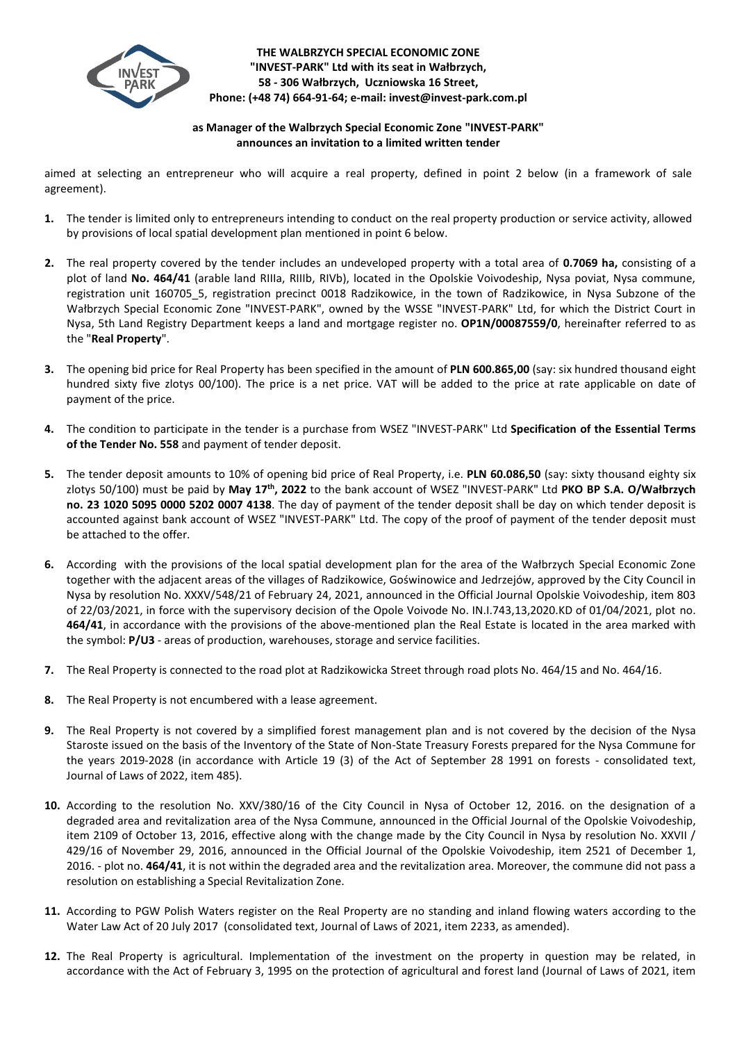

**THE WALBRZYCH SPECIAL ECONOMIC ZONE "INVEST-PARK" Ltd with its seat in Wałbrzych, 58 - 306 Wałbrzych, Uczniowska 16 Street, Phone: (+48 74) 664-91-64; e-mail: invest@invest-park.com.pl**

## **as Manager of the Walbrzych Special Economic Zone "INVEST-PARK" announces an invitation to a limited written tender**

aimed at selecting an entrepreneur who will acquire a real property, defined in point 2 below (in a framework of sale agreement).

- **1.** The tender is limited only to entrepreneurs intending to conduct on the real property production or service activity, allowed by provisions of local spatial development plan mentioned in point 6 below.
- **2.** The real property covered by the tender includes an undeveloped property with a total area of **0.7069 ha,** consisting of a plot of land **No. 464/41** (arable land RIIIa, RIIIb, RIVb), located in the Opolskie Voivodeship, Nysa poviat, Nysa commune, registration unit 160705 5, registration precinct 0018 Radzikowice, in the town of Radzikowice, in Nysa Subzone of the Wałbrzych Special Economic Zone "INVEST-PARK", owned by the WSSE "INVEST-PARK" Ltd, for which the District Court in Nysa, 5th Land Registry Department keeps a land and mortgage register no. **OP1N/00087559/0**, hereinafter referred to as the "**Real Property**".
- **3.** The opening bid price for Real Property has been specified in the amount of **PLN 600.865,00** (say: six hundred thousand eight hundred sixty five zlotys 00/100). The price is a net price. VAT will be added to the price at rate applicable on date of payment of the price.
- **4.** The condition to participate in the tender is a purchase from WSEZ "INVEST-PARK" Ltd **Specification of the Essential Terms of the Tender No. 558** and payment of tender deposit.
- **5.** The tender deposit amounts to 10% of opening bid price of Real Property, i.e. **PLN 60.086,50** (say: sixty thousand eighty six zlotys 50/100) must be paid by **May 17 th , 2022** to the bank account of WSEZ "INVEST-PARK" Ltd **PKO BP S.A. O/Wałbrzych no. 23 1020 5095 0000 5202 0007 4138**. The day of payment of the tender deposit shall be day on which tender deposit is accounted against bank account of WSEZ "INVEST-PARK" Ltd. The copy of the proof of payment of the tender deposit must be attached to the offer.
- **6.** According with the provisions of the local spatial development plan for the area of the Wałbrzych Special Economic Zone together with the adjacent areas of the villages of Radzikowice, Goświnowice and Jedrzejów, approved by the City Council in Nysa by resolution No. XXXV/548/21 of February 24, 2021, announced in the Official Journal Opolskie Voivodeship, item 803 of 22/03/2021, in force with the supervisory decision of the Opole Voivode No. IN.I.743,13,2020.KD of 01/04/2021, plot no. **464/41**, in accordance with the provisions of the above-mentioned plan the Real Estate is located in the area marked with the symbol: **P/U3** - areas of production, warehouses, storage and service facilities.
- **7.** The Real Property is connected to the road plot at Radzikowicka Street through road plots No. 464/15 and No. 464/16.
- **8.** The Real Property is not encumbered with a lease agreement.
- **9.** The Real Property is not covered by a simplified forest management plan and is not covered by the decision of the Nysa Staroste issued on the basis of the Inventory of the State of Non-State Treasury Forests prepared for the Nysa Commune for the years 2019-2028 (in accordance with Article 19 (3) of the Act of September 28 1991 on forests - consolidated text, Journal of Laws of 2022, item 485).
- **10.** According to the resolution No. XXV/380/16 of the City Council in Nysa of October 12, 2016. on the designation of a degraded area and revitalization area of the Nysa Commune, announced in the Official Journal of the Opolskie Voivodeship, item 2109 of October 13, 2016, effective along with the change made by the City Council in Nysa by resolution No. XXVII / 429/16 of November 29, 2016, announced in the Official Journal of the Opolskie Voivodeship, item 2521 of December 1, 2016. - plot no. **464/41**, it is not within the degraded area and the revitalization area. Moreover, the commune did not pass a resolution on establishing a Special Revitalization Zone.
- **11.** According to PGW Polish Waters register on the Real Property are no standing and inland flowing waters according to the Water Law Act of 20 July 2017 (consolidated text, Journal of Laws of 2021, item 2233, as amended).
- **12.** The Real Property is agricultural. Implementation of the investment on the property in question may be related, in accordance with the Act of February 3, 1995 on the protection of agricultural and forest land (Journal of Laws of 2021, item